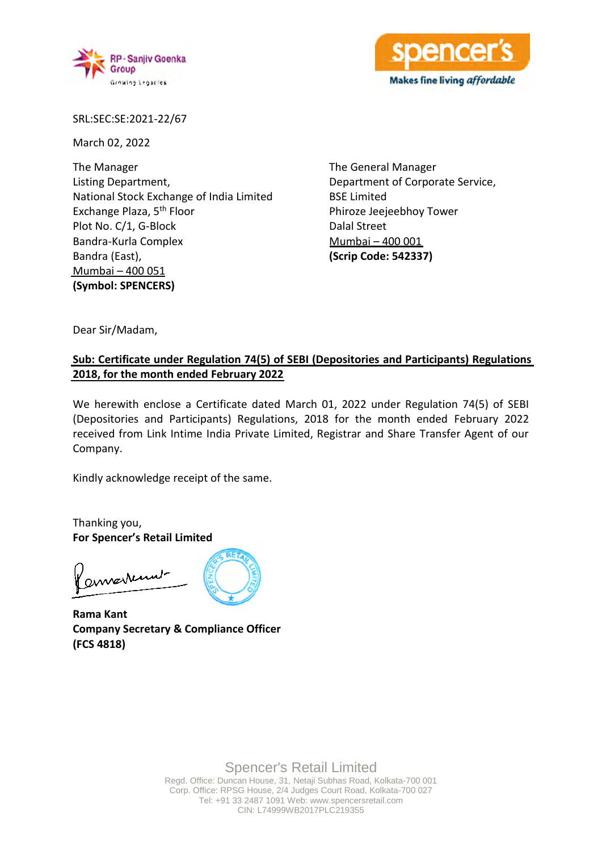



SRL:SEC:SE:2021-22/67

March 02, 2022

The Manager Listing Department, National Stock Exchange of India Limited Exchange Plaza, 5th Floor Plot No. C/1, G-Block Bandra-Kurla Complex Bandra (East), Mumbai – 400 051 **(Symbol: SPENCERS)**

The General Manager Department of Corporate Service, BSE Limited Phiroze Jeejeebhoy Tower Dalal Street Mumbai – 400 001 **(Scrip Code: 542337)**

Dear Sir/Madam,

## **Sub: Certificate under Regulation 74(5) of SEBI (Depositories and Participants) Regulations 2018, for the month ended February 2022**

We herewith enclose a Certificate dated March 01, 2022 under Regulation 74(5) of SEBI (Depositories and Participants) Regulations, 2018 for the month ended February 2022 received from Link Intime India Private Limited, Registrar and Share Transfer Agent of our Company.

Kindly acknowledge receipt of the same.

Thanking you, **For Spencer's Retail Limited**

amarrind

**Rama Kant Company Secretary & Compliance Officer (FCS 4818)**